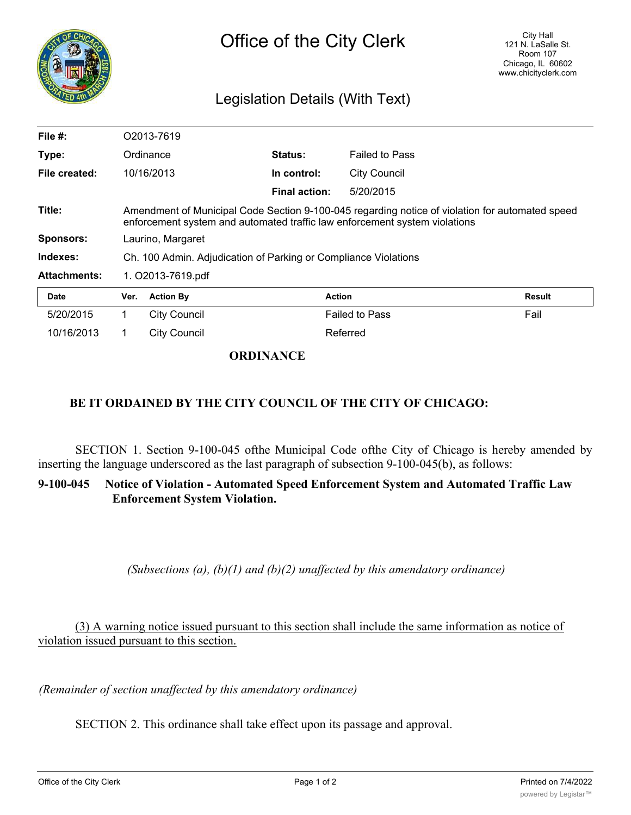

## Legislation Details (With Text)

| File $#$ :          | O2013-7619                                                                                                                                                                    |                     |                      |                       |               |
|---------------------|-------------------------------------------------------------------------------------------------------------------------------------------------------------------------------|---------------------|----------------------|-----------------------|---------------|
| Type:               | Ordinance                                                                                                                                                                     |                     | Status:              | <b>Failed to Pass</b> |               |
| File created:       |                                                                                                                                                                               | 10/16/2013          | In control:          | <b>City Council</b>   |               |
|                     |                                                                                                                                                                               |                     | <b>Final action:</b> | 5/20/2015             |               |
| Title:              | Amendment of Municipal Code Section 9-100-045 regarding notice of violation for automated speed<br>enforcement system and automated traffic law enforcement system violations |                     |                      |                       |               |
| <b>Sponsors:</b>    | Laurino, Margaret                                                                                                                                                             |                     |                      |                       |               |
| Indexes:            | Ch. 100 Admin. Adjudication of Parking or Compliance Violations                                                                                                               |                     |                      |                       |               |
| <b>Attachments:</b> | 1. O2013-7619.pdf                                                                                                                                                             |                     |                      |                       |               |
| <b>Date</b>         | Ver.                                                                                                                                                                          | <b>Action By</b>    | <b>Action</b>        |                       | <b>Result</b> |
| 5/20/2015           | 1.                                                                                                                                                                            | City Council        |                      | <b>Failed to Pass</b> | Fail          |
| 10/16/2013          |                                                                                                                                                                               | <b>City Council</b> |                      | Referred              |               |

## **ORDINANCE**

## **BE IT ORDAINED BY THE CITY COUNCIL OF THE CITY OF CHICAGO:**

SECTION 1. Section 9-100-045 ofthe Municipal Code ofthe City of Chicago is hereby amended by inserting the language underscored as the last paragraph of subsection 9-100-045(b), as follows:

## **9-100-045 Notice of Violation - Automated Speed Enforcement System and Automated Traffic Law Enforcement System Violation.**

*(Subsections (a), (b)(1) and (b)(2) unaffected by this amendatory ordinance)*

(3) A warning notice issued pursuant to this section shall include the same information as notice of violation issued pursuant to this section.

*(Remainder of section unaffected by this amendatory ordinance)*

SECTION 2. This ordinance shall take effect upon its passage and approval.